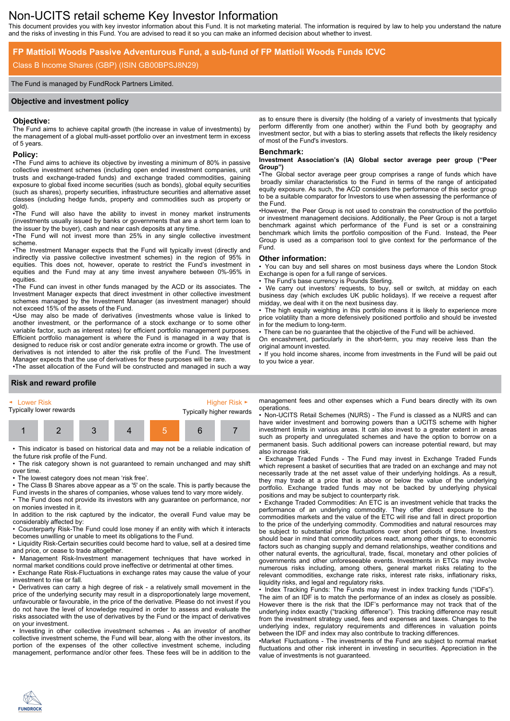# Non-UCITS retail scheme Key Investor Information

This document provides you with key investor information about this Fund. It is not marketing material. The information is required by law to help you understand the nature and the risks of investing in this Fund. You are advised to read it so you can make an informed decision about whether to invest.

# **FP Mattioli Woods Passive Adventurous Fund, a sub-fund of FP Mattioli Woods Funds ICVC**

# Class B Income Shares (GBP) (ISIN GB00BPSJ8N29)

## The Fund is managed by FundRock Partners Limited.

## **Objective and investment policy**

### **Objective:**

The Fund aims to achieve capital growth (the increase in value of investments) by the management of a global multi-asset portfolio over an investment term in excess of 5 years.

## **Policy:**

•The Fund aims to achieve its objective by investing a minimum of 80% in passive collective investment schemes (including open ended investment companies, unit trusts and exchange-traded funds) and exchange traded commodities, gaining exposure to global fixed income securities (such as bonds), global equity securities (such as shares), property securities, infrastructure securities and alternative asset classes (including hedge funds, property and commodities such as property or gold).

•The Fund will also have the ability to invest in money market instruments (investments usually issued by banks or governments that are a short term loan to the issuer by the buyer), cash and near cash deposits at any time.

•The Fund will not invest more than 25% in any single collective investment scheme.

•The Investment Manager expects that the Fund will typically invest (directly and indirectly via passive collective investment schemes) in the region of 95% in equities. This does not, however, operate to restrict the Fund's investment in equities and the Fund may at any time invest anywhere between 0%-95% in equities.

•The Fund can invest in other funds managed by the ACD or its associates. The Investment Manager expects that direct investment in other collective investment schemes managed by the Investment Manager (as investment manager) should not exceed 15% of the assets of the Fund.

•Use may also be made of derivatives (investments whose value is linked to another investment, or the performance of a stock exchange or to some other variable factor, such as interest rates) for efficient portfolio management purposes. Efficient portfolio management is where the Fund is managed in a way that is designed to reduce risk or cost and/or generate extra income or growth. The use of derivatives is not intended to alter the risk profile of the Fund. The Investment Manager expects that the use of derivatives for these purposes will be rare.

•The asset allocation of the Fund will be constructed and managed in such a way

### as to ensure there is diversity (the holding of a variety of investments that typically perform differently from one another) within the Fund both by geography and investment sector, but with a bias to sterling assets that reflects the likely residency of most of the Fund's investors.

#### **Benchmark:**

#### **Investment Association's (IA) Global sector average peer group ("Peer Group")**

•The Global sector average peer group comprises a range of funds which have broadly similar characteristics to the Fund in terms of the range of anticipated equity exposure. As such, the ACD considers the performance of this sector group to be a suitable comparator for Investors to use when assessing the performance of the Fund.

•However, the Peer Group is not used to constrain the construction of the portfolio or investment management decisions. Additionally, the Peer Group is not a target benchmark against which performance of the Fund is set or a constraining benchmark which limits the portfolio composition of the Fund. Instead, the Peer Group is used as a comparison tool to give context for the performance of the Fund.

### **Other information:**

• You can buy and sell shares on most business days where the London Stock Exchange is open for a full range of services.

The Fund's base currency is Pounds Sterling.

• We carry out investors' requests, to buy, sell or switch, at midday on each business day (which excludes UK public holidays). If we receive a request after midday, we deal with it on the next business day.

The high equity weighting in this portfolio means it is likely to experience more price volatility than a more defensively positioned portfolio and should be invested in for the medium to long-term.

There can be no guarantee that the objective of the Fund will be achieved.

On encashment, particularly in the short-term, you may receive less than the

original amount invested. • If you hold income shares, income from investments in the Fund will be paid out to you twice a year.

## **Risk and reward profile**

**FUNDROCK** 

| ► Lower Risk            |  |  |  |  | Higher Risk $\blacktriangleright$ |  |  |
|-------------------------|--|--|--|--|-----------------------------------|--|--|
| Typically lower rewards |  |  |  |  | Typically higher rewards          |  |  |
|                         |  |  |  |  |                                   |  |  |

• This indicator is based on historical data and may not be a reliable indication of the future risk profile of the Fund.

• The risk category shown is not guaranteed to remain unchanged and may shift over time.

• The lowest category does not mean 'risk free'.

• The Class B Shares above appear as a '5' on the scale. This is partly because the Fund invests in the shares of companies, whose values tend to vary more widely.

• The Fund does not provide its investors with any guarantee on performance, nor on monies invested in it.

In addition to the risk captured by the indicator, the overall Fund value may be considerably affected by:

• Counterparty Risk-The Fund could lose money if an entity with which it interacts becomes unwilling or unable to meet its obligations to the Fund.

• Liquidity Risk-Certain securities could become hard to value, sell at a desired time and price, or cease to trade altogether.

• Management Risk-Investment management techniques that have worked in normal market conditions could prove ineffective or detrimental at other times.

• Exchange Rate Risk-Fluctuations in exchange rates may cause the value of your investment to rise or fall.

• Derivatives can carry a high degree of risk - a relatively small movement in the price of the underlying security may result in a disproportionately large movement, unfavourable or favourable, in the price of the derivative. Please do not invest if you do not have the level of knowledge required in order to assess and evaluate the risks associated with the use of derivatives by the Fund or the impact of derivatives on your investment.

• Investing in other collective investment schemes - As an investor of another collective investment scheme, the Fund will bear, along with the other investors, its portion of the expenses of the other collective investment scheme, including management, performance and/or other fees. These fees will be in addition to the

management fees and other expenses which a Fund bears directly with its own operations.

• Non-UCITS Retail Schemes (NURS) - The Fund is classed as a NURS and can have wider investment and borrowing powers than a UCITS scheme with higher investment limits in various areas. It can also invest to a greater extent in areas such as property and unregulated schemes and have the option to borrow on a permanent basis. Such additional powers can increase potential reward, but may also increase risk.

• Exchange Traded Funds - The Fund may invest in Exchange Traded Funds which represent a basket of securities that are traded on an exchange and may not necessarily trade at the net asset value of their underlying holdings. As a result, they may trade at a price that is above or below the value of the underlying portfolio. Exchange traded funds may not be backed by underlying physical positions and may be subject to counterparty risk.

• Exchange Traded Commodities: An ETC is an investment vehicle that tracks the performance of an underlying commodity. They offer direct exposure to the commodities markets and the value of the ETC will rise and fall in direct proportion to the price of the underlying commodity. Commodities and natural resources may be subject to substantial price fluctuations over short periods of time. Investors should bear in mind that commodity prices react, among other things, to economic factors such as changing supply and demand relationships, weather conditions and other natural events, the agricultural, trade, fiscal, monetary and other policies of governments and other unforeseeable events. Investments in ETCs may involve numerous risks including, among others, general market risks relating to the relevant commodities, exchange rate risks, interest rate risks, inflationary risks, liquidity risks, and legal and regulatory risks.

• Index Tracking Funds: The Funds may invest in index tracking funds ("IDFs"). The aim of an IDF is to match the performance of an index as closely as possible. However there is the risk that the IDF's performance may not track that of the underlying index exactly ("tracking difference"). This tracking difference may result from the investment strategy used, fees and expenses and taxes. Changes to the underlying index, regulatory requirements and differences in valuation points between the IDF and index may also contribute to tracking differences.

•Market Fluctuations - The investments of the Fund are subject to normal market fluctuations and other risk inherent in investing in securities. Appreciation in the value of investments is not guaranteed.